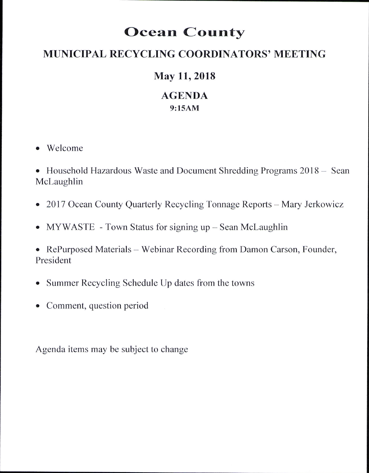# Ocean County

## MUNICIPAL RECYCLING COORDINATORS' MEETING

## May 11, 2018

## AGENDA 9:l5AM

- o Welcome
- . Household Hazardous Waste and Document Shredding Programs 2018 Sean McLaughlin
- 2017 Ocean County Quarterly Recycling Tonnage Reports Mary Jerkowicz
- MYWASTE Town Status for signing up Sean McLaughlin
- RePurposed Materials Webinar Recording from Damon Carson, Founder, President
- Summer Recycling Schedule Up dates from the towns
- Comment, question period

Agenda items may be subject to change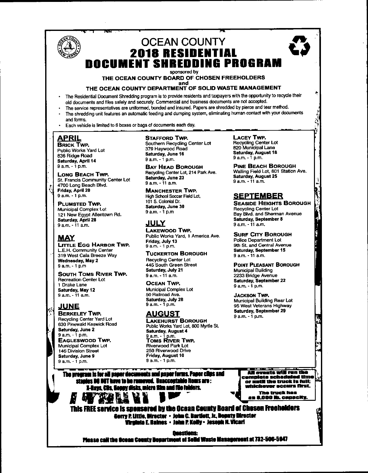## **OCEAN COUNTY 2018 RESIDENTIAL DOCUMENT SHREDDING PROGRAM**

sponsored by

THE OCEAN COUNTY BOARD OF CHOSEN FREEHOLDERS and

#### THE OCEAN COUNTY DEPARTMENT OF SOLID WASTE MANAGEMENT

- The Residential Document Shredding program is to provide residents and taxpayers with the opportunity to recycle their old documents and files safely and securely. Commercial and business documents are not accepted.
- The service representatives are uniformed, bonded and insured. Papers are shredded by pierce and tear method. The shredding unit features an automatic feeding and dumping system, eliminating human contact with your documents and forms.
- Each vehicle is limited to 6 boxes or bags of documents each day.

### <u>APRIL</u>

**BRICK TWP.** Public Works Yard Lot 836 Ridge Road Saturday, April 14  $9a.m. - 1b.m.$ 

LONG BEACH TWP. St. Francis Community Center Lot 4700 Long Beach Blvd. Friday, April 20 9 a.m. - 1 p.m.

PLUMSTED TWP. **Municipal Complex Lot** 121 New Egypt Allentown Rd. Saturday, April 28 9 a.m. - 11 a.m.

#### **MAY**

**LITTLE EGG HARBOR TWP.** L.E.H. Community Center 319 West Cala Breeze Way Wednesday, May 2 9 a.m. - 1 p.m

**SOUTH TOMS RIVER TWP. Recreation Center Lot** 1 Drake Lane Saturday, May 12 9 a.m. - 11 a.m.

#### **JUNE**

**BERKELEY TWP. Recycling Center Yard Lot** 630 Pinewald Keswick Road Saturday, June 2 9 a.m. - 1 p.m. **EAGLESWOOD TWP.** Municipal Complex Lot 146 Division Street Saturday, June 9 9 a.m. - 1 p.m.

**STAFFORD TWP.** 

Southern Recycling Center Lot 379 Havwood Road Saturday, June 16 9 a.m. - 1 p.m.

**BAY HEAD BOROUGH** Recycling Center Lot, 214 Park Ave. Saturday, June 23 9 a.m. - 11 a.m.

**MANCHESTER TWP.** High School Soccer Field Lot. 101 S. Colonial Dr. Saturday, June 30 9 a.m. - 1 p.m

#### **JULY**

**LAKEWOOD TWP.** Public Works Yard, 1 America Ave. Friday, July 13  $9a.m. - 1 p.m.$ 

**TUCKERTON BOROUGH Recycling Center Lot** 445 South Green Street Saturday, July 21 9 a.m. - 11 a.m.

**OCEAN TWP.** Municipal Cornolex Lot 50 Railroad Ave. Saturday, July 28  $9a.m. - 1p.m.$ 

#### AUGUST

**LAKEHURST BOROUGH** Public Works Yard Lot, 800 Myrtle St. Saturday, August 4 9 a.m. - 1 p.m.<br>TOMS RIVER TWP. **Riverwood Park Lot** 250 Riverwood Drive Friday, August 10<br>9 a.m. - 1 p.m.

**LACEY TWP.** 

Recycling Center Lot<br>820 Municipal Lane Saturday, August 18 9 a.m. - 1 p.m.

**PINE BEACH BOROUGH** Walling Field Lot, 601 Station Ave. Saturday, August 25 9 a.m. - 11 a.m.

#### **SEPTEMBER**

**SEASIDE HEIGHTS BOROUGH Recycling Center Lot** Bay Blvd. and Sherman Avenue Saturday, September 8 9 a.m. - 11 a.m.

**SURF CITY BOROUGH** 

Police Department Lot 9th St. and Central Avenue Saturday, September 15 9 a.m. - 11 a.m.

#### **POINT PLEASANT BOROUGH**

**Municipal Building** 2233 Bridge Avenue Saturday, September 22  $9 a.m. -1 p.m.$ 

**JACKSON TWP.** Municipal Building Rear Lot 95 West Veterans Highway **Saturday, September 29**  $9a.m. - 1n.m.$ 

The program is for all paper decuments and paper forms. Paper clips and rs DO NOT have to be remeved. Unacceptable items are : X-Rays, CBs, Hoppy disks, micro film and file folders. **THE VY** 

All ovents will run ti omplete scheduled time<br>or until the truck is full; nichever necurs first. The truck has<br>an 8,000 lb. capacity

This FREE service is spensered by the Ocean County Board of Chesen Freeholders Cerry P. Little, Directer • John C. Bartlett, Jr., Doputy Directer Virginia E. Haines • John P. Kolly• Jeseph N. Vicari

Ouestiens:

Picaso call the Ocean County Department of Solid Waste Management at 732-506-5947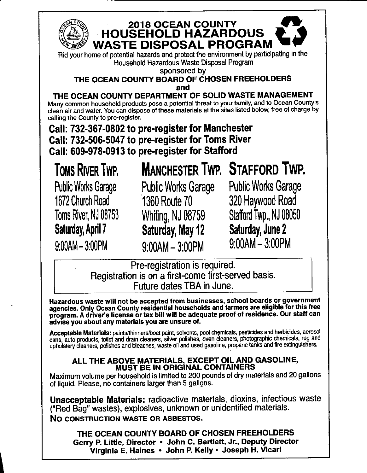

# **2018 OCEAN COUNTY** HOUSEHOLD HAZARDOUS WASTE DISPOSAL PROGRAM

Household Hazardous Waste Disposal Program

sponsored by

#### THE OCEAN COUNTY BOARD OF CHOSEN FREEHOLDERS and

THE OCEAN COUNTY DEPARTMENT OF SOLID WASTE MANAGEMENT Many common household products pose a potential threat to your family, and to Ocean County's clean air and water. You cah dispose of these materials at the sites listed below, free of charge by calling the County to pre-register.

Call: 732-367-0802 to pre-register for Manchester Call: 732-506-5047 to pre-register for Toms River Gall: 609-978-0913 to pre-register for Stafford

TOMS RIVER TWP. MANCHESTER TWP. STAFFORD TWP.

1672 Church Road 1360 Route 70 320 Haywood Road

9:00AM - 3:00PM 9:00AM - 3:00PM 9:00AM-3:00PM

Public Works Garage Public Works Garage Public Works Garage Toms River, NJ 08753 Whiting, NJ 08759 Stafford Twp., NJ 08050 Saturday, April 7 Saturday, May 12 Saturday, June 2<br>  $\frac{1}{2}$  Saturday, May 12 Saturday, June 2

> Pre-registration is required. Registration is on a first-come first-served basis. Future dates TBA in June.

Hazardous waste will not be accepted from businesses, school boards or government agencies. Only Ocean County residential households and farmers are eligible for this free program. A driver's license or tax bill will be adequate proof of residence. Our staff can advise you about any materials you are unsure of.

Acceptable Materials: paints/thinners/boat paint, solvents, pool chemicals, pesticides and herbicides, aerosol cans, auto products, toilet and drain cleaners, silver polishes, oven cleaners, photographic chemicals, rug and uphoistery cleaners, polishes and bleaches, waste oil and used gasoline, propane tanks and fire extinguishers.

### ALL THE ABOVE MATERIALS, EXCEPT OIL AND GASOLINE, MUST BE IN ORIGINAL CONTAINERS

Maximum volume per household is limited to 200 pounds of dry materials and 20 gallons of liquid. Please, no containers larger than 5 gallons.

Unacceptable Materials: radioactive materials, dioxins, infectious waste ("Red Bag" wastes), explosives, unknown or unidentified materials. No construction waste or asbestos.

THE OCEAN COUNTY BOARD OF CHOSEN FREEHOLDERS Gerry P. Little, Director . John G. Bartlett, Jr., Deputy Director Virginia E. Haines · John P. Kelly · Joseph H. Vicari